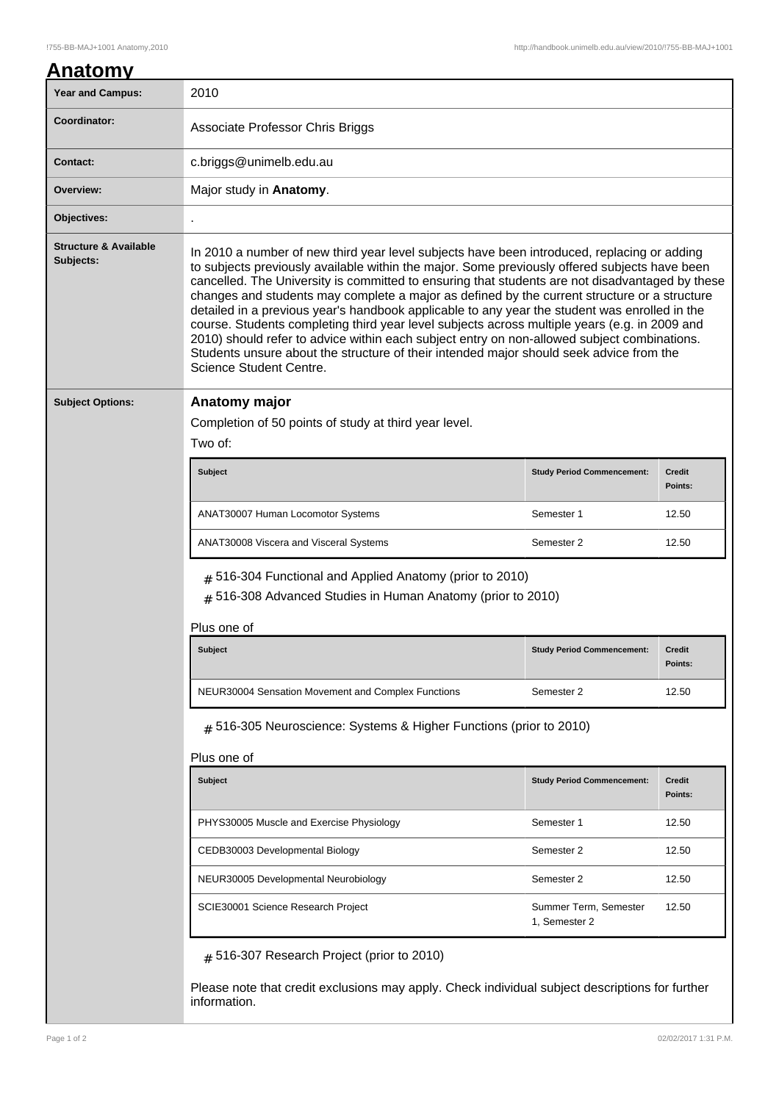| <b>Year and Campus:</b>                       | 2010                                                                                                                                                                                                                                                                                                                                                                                                                                                                                                                                                                                                                                                                                                                                                                                                                   |                                   |                          |  |
|-----------------------------------------------|------------------------------------------------------------------------------------------------------------------------------------------------------------------------------------------------------------------------------------------------------------------------------------------------------------------------------------------------------------------------------------------------------------------------------------------------------------------------------------------------------------------------------------------------------------------------------------------------------------------------------------------------------------------------------------------------------------------------------------------------------------------------------------------------------------------------|-----------------------------------|--------------------------|--|
| Coordinator:                                  | Associate Professor Chris Briggs                                                                                                                                                                                                                                                                                                                                                                                                                                                                                                                                                                                                                                                                                                                                                                                       |                                   |                          |  |
| <b>Contact:</b>                               | c.briggs@unimelb.edu.au                                                                                                                                                                                                                                                                                                                                                                                                                                                                                                                                                                                                                                                                                                                                                                                                |                                   |                          |  |
| Overview:                                     | Major study in Anatomy.                                                                                                                                                                                                                                                                                                                                                                                                                                                                                                                                                                                                                                                                                                                                                                                                |                                   |                          |  |
| Objectives:                                   |                                                                                                                                                                                                                                                                                                                                                                                                                                                                                                                                                                                                                                                                                                                                                                                                                        |                                   |                          |  |
| <b>Structure &amp; Available</b><br>Subjects: | In 2010 a number of new third year level subjects have been introduced, replacing or adding<br>to subjects previously available within the major. Some previously offered subjects have been<br>cancelled. The University is committed to ensuring that students are not disadvantaged by these<br>changes and students may complete a major as defined by the current structure or a structure<br>detailed in a previous year's handbook applicable to any year the student was enrolled in the<br>course. Students completing third year level subjects across multiple years (e.g. in 2009 and<br>2010) should refer to advice within each subject entry on non-allowed subject combinations.<br>Students unsure about the structure of their intended major should seek advice from the<br>Science Student Centre. |                                   |                          |  |
| <b>Subject Options:</b>                       | Anatomy major                                                                                                                                                                                                                                                                                                                                                                                                                                                                                                                                                                                                                                                                                                                                                                                                          |                                   |                          |  |
|                                               | Completion of 50 points of study at third year level.                                                                                                                                                                                                                                                                                                                                                                                                                                                                                                                                                                                                                                                                                                                                                                  |                                   |                          |  |
|                                               | Two of:                                                                                                                                                                                                                                                                                                                                                                                                                                                                                                                                                                                                                                                                                                                                                                                                                |                                   |                          |  |
|                                               | <b>Subject</b>                                                                                                                                                                                                                                                                                                                                                                                                                                                                                                                                                                                                                                                                                                                                                                                                         | <b>Study Period Commencement:</b> | <b>Credit</b><br>Points: |  |
|                                               | ANAT30007 Human Locomotor Systems                                                                                                                                                                                                                                                                                                                                                                                                                                                                                                                                                                                                                                                                                                                                                                                      | Semester 1                        | 12.50                    |  |
|                                               | ANAT30008 Viscera and Visceral Systems                                                                                                                                                                                                                                                                                                                                                                                                                                                                                                                                                                                                                                                                                                                                                                                 | Semester 2                        | 12.50                    |  |
|                                               | $#$ 516-304 Functional and Applied Anatomy (prior to 2010)<br>$#$ 516-308 Advanced Studies in Human Anatomy (prior to 2010)                                                                                                                                                                                                                                                                                                                                                                                                                                                                                                                                                                                                                                                                                            |                                   |                          |  |
|                                               | Plus one of                                                                                                                                                                                                                                                                                                                                                                                                                                                                                                                                                                                                                                                                                                                                                                                                            |                                   |                          |  |
|                                               | <b>Subject</b>                                                                                                                                                                                                                                                                                                                                                                                                                                                                                                                                                                                                                                                                                                                                                                                                         | <b>Study Period Commencement:</b> | Credit<br>Points:        |  |
|                                               | NEUR30004 Sensation Movement and Complex Functions                                                                                                                                                                                                                                                                                                                                                                                                                                                                                                                                                                                                                                                                                                                                                                     | Semester 2                        | 12.50                    |  |
|                                               | $#$ 516-305 Neuroscience: Systems & Higher Functions (prior to 2010)                                                                                                                                                                                                                                                                                                                                                                                                                                                                                                                                                                                                                                                                                                                                                   |                                   |                          |  |
|                                               |                                                                                                                                                                                                                                                                                                                                                                                                                                                                                                                                                                                                                                                                                                                                                                                                                        |                                   |                          |  |
|                                               | Plus one of<br><b>Subject</b>                                                                                                                                                                                                                                                                                                                                                                                                                                                                                                                                                                                                                                                                                                                                                                                          | <b>Study Period Commencement:</b> | <b>Credit</b><br>Points: |  |
|                                               | PHYS30005 Muscle and Exercise Physiology                                                                                                                                                                                                                                                                                                                                                                                                                                                                                                                                                                                                                                                                                                                                                                               | Semester 1                        | 12.50                    |  |
|                                               | CEDB30003 Developmental Biology                                                                                                                                                                                                                                                                                                                                                                                                                                                                                                                                                                                                                                                                                                                                                                                        | Semester 2                        | 12.50                    |  |
|                                               | NEUR30005 Developmental Neurobiology                                                                                                                                                                                                                                                                                                                                                                                                                                                                                                                                                                                                                                                                                                                                                                                   | Semester 2                        | 12.50                    |  |